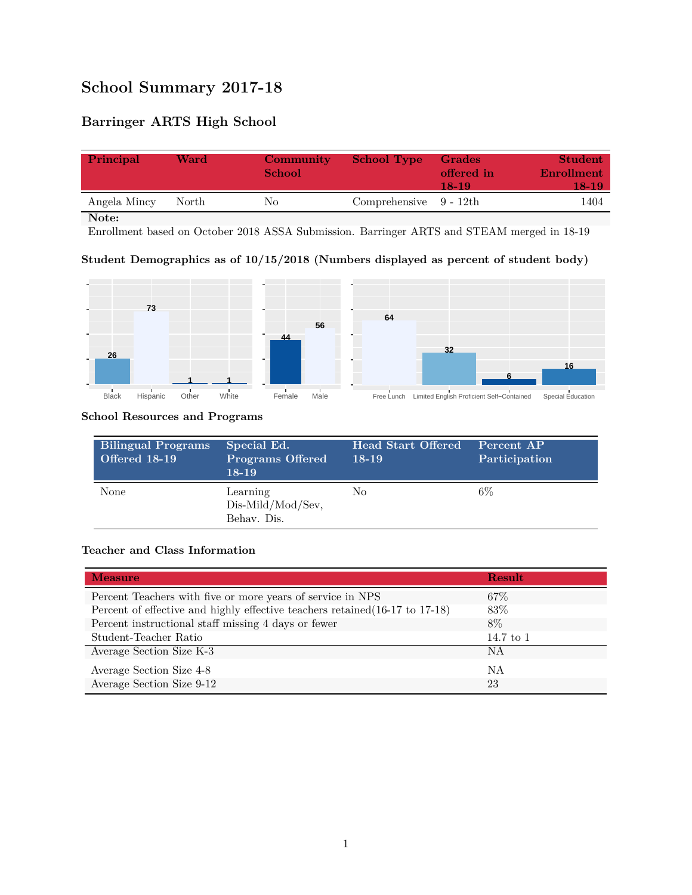## **School Summary 2017-18**

### **Barringer ARTS High School**

| Principal    | Ward  | <b>Community</b><br><b>School</b> | <b>School Type</b>        | <b>Grades</b><br>offered in<br>18-19 | Student<br>Enrollment<br>18-19. |
|--------------|-------|-----------------------------------|---------------------------|--------------------------------------|---------------------------------|
| Angela Mincy | North | No                                | Comprehensive $9 - 12$ th |                                      | 1404                            |

**Note:**

Enrollment based on October 2018 ASSA Submission. Barringer ARTS and STEAM merged in 18-19

#### **Student Demographics as of 10/15/2018 (Numbers displayed as percent of student body)**



#### **School Resources and Programs**

| <b>Bilingual Programs</b><br><b>Offered 18-19</b> | Special Ed.<br><b>Programs Offered</b><br>$18-19$ | <b>Head Start Offered</b><br>$18-19$ | Percent AP<br>Participation |
|---------------------------------------------------|---------------------------------------------------|--------------------------------------|-----------------------------|
| None                                              | Learning<br>Dis-Mild/Mod/Sev,<br>Behav. Dis.      | No                                   | 6%                          |

#### **Teacher and Class Information**

| <b>Measure</b>                                                               | Result    |
|------------------------------------------------------------------------------|-----------|
| Percent Teachers with five or more years of service in NPS                   | $67\%$    |
| Percent of effective and highly effective teachers retained (16-17 to 17-18) | 83\%      |
| Percent instructional staff missing 4 days or fewer                          | 8%        |
| Student-Teacher Ratio                                                        | 14.7 to 1 |
| Average Section Size K-3                                                     | ΝA        |
| Average Section Size 4-8                                                     | ΝA        |
| Average Section Size 9-12                                                    | 23        |